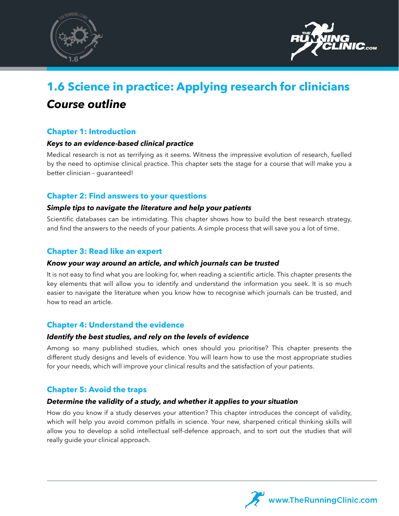



# **1.6 Science in practice: Applying research for clinicians** *Course outline*

## **Chapter 1: Introduction**

## *Keys to an evidence-based clinical practice*

Medical research is not as terrifying as it seems. Witness the impressive evolution of research, fuelled by the need to optimise clinical practice. This chapter sets the stage for a course that will make you a better clinician – guaranteed!

## **Chapter 2: Find answers to your questions**

## *Simple tips to navigate the literature and help your patients*

Scientific databases can be intimidating. This chapter shows how to build the best research strategy, and find the answers to the needs of your patients. A simple process that will save you a lot of time.

## **Chapter 3: Read like an expert**

#### *Know your way around an article, and which journals can be trusted*

It is not easy to find what you are looking for, when reading a scientific article. This chapter presents the key elements that will allow you to identify and understand the information you seek. It is so much easier to navigate the literature when you know how to recognise which journals can be trusted, and how to read an article.

## **Chapter 4: Understand the evidence**

#### *Identify the best studies, and rely on the levels of evidence*

Among so many published studies, which ones should you prioritise? This chapter presents the different study designs and levels of evidence. You will learn how to use the most appropriate studies for your needs, which will improve your clinical results and the satisfaction of your patients.

## **Chapter 5: Avoid the traps**

## *Determine the validity of a study, and whether it applies to your situation*

How do you know if a study deserves your attention? This chapter introduces the concept of validity, which will help you avoid common pitfalls in science. Your new, sharpened critical thinking skills will allow you to develop a solid intellectual self-defence approach, and to sort out the studies that will really guide your clinical approach.

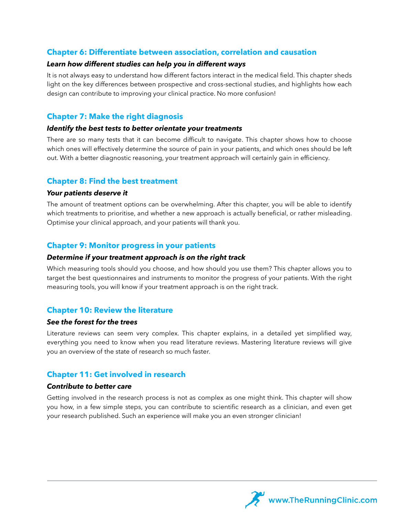## **Chapter 6: Differentiate between association, correlation and causation**

#### *Learn how different studies can help you in different ways*

It is not always easy to understand how different factors interact in the medical field. This chapter sheds light on the key differences between prospective and cross-sectional studies, and highlights how each design can contribute to improving your clinical practice. No more confusion!

## **Chapter 7: Make the right diagnosis**

#### *Identify the best tests to better orientate your treatments*

There are so many tests that it can become difficult to navigate. This chapter shows how to choose which ones will effectively determine the source of pain in your patients, and which ones should be left out. With a better diagnostic reasoning, your treatment approach will certainly gain in efficiency.

## **Chapter 8: Find the best treatment**

#### *Your patients deserve it*

The amount of treatment options can be overwhelming. After this chapter, you will be able to identify which treatments to prioritise, and whether a new approach is actually beneficial, or rather misleading. Optimise your clinical approach, and your patients will thank you.

## **Chapter 9: Monitor progress in your patients**

#### *Determine if your treatment approach is on the right track*

Which measuring tools should you choose, and how should you use them? This chapter allows you to target the best questionnaires and instruments to monitor the progress of your patients. With the right measuring tools, you will know if your treatment approach is on the right track.

## **Chapter 10: Review the literature**

#### *See the forest for the trees*

Literature reviews can seem very complex. This chapter explains, in a detailed yet simplified way, everything you need to know when you read literature reviews. Mastering literature reviews will give you an overview of the state of research so much faster.

## **Chapter 11: Get involved in research**

#### *Contribute to better care*

Getting involved in the research process is not as complex as one might think. This chapter will show you how, in a few simple steps, you can contribute to scientific research as a clinician, and even get your research published. Such an experience will make you an even stronger clinician!

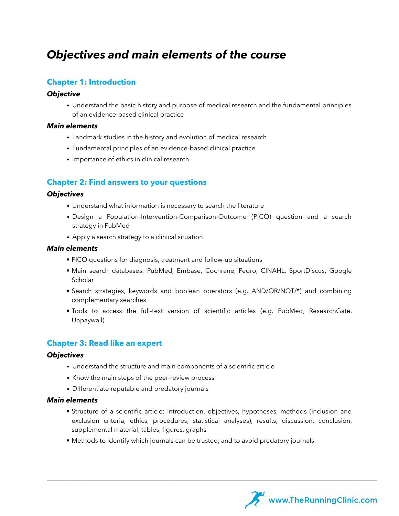## *Objectives and main elements of the course*

## **Chapter 1: Introduction**

#### *Objective*

• Understand the basic history and purpose of medical research and the fundamental principles of an evidence-based clinical practice

#### *Main elements*

- Landmark studies in the history and evolution of medical research
- Fundamental principles of an evidence-based clinical practice
- Importance of ethics in clinical research

## **Chapter 2: Find answers to your questions**

#### *Objectives*

- Understand what information is necessary to search the literature
- Design a Population-Intervention-Comparison-Outcome (PICO) question and a search strategy in PubMed
- Apply a search strategy to a clinical situation

#### *Main elements*

- PICO questions for diagnosis, treatment and follow-up situations
- Main search databases: PubMed, Embase, Cochrane, Pedro, CINAHL, SportDiscus, Google Scholar
- Search strategies, keywords and boolean operators (e.g. AND/OR/NOT/\*) and combining complementary searches
- Tools to access the full-text version of scientific articles (e.g. PubMed, ResearchGate, Unpaywall)

## **Chapter 3: Read like an expert**

#### *Objectives*

- Understand the structure and main components of a scientific article
- Know the main steps of the peer-review process
- Differentiate reputable and predatory journals

- Structure of a scientific article: introduction, objectives, hypotheses, methods (inclusion and exclusion criteria, ethics, procedures, statistical analyses), results, discussion, conclusion, supplemental material, tables, figures, graphs
- Methods to identify which journals can be trusted, and to avoid predatory journals

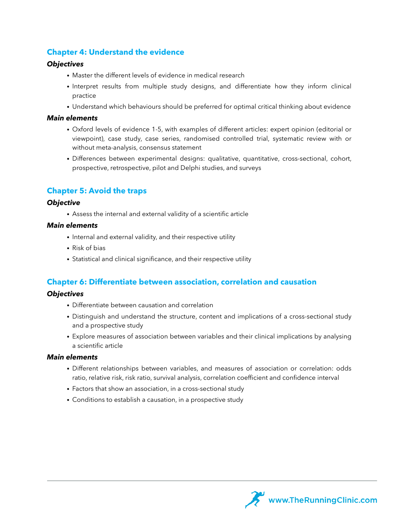## **Chapter 4: Understand the evidence**

#### *Objectives*

- Master the different levels of evidence in medical research
- Interpret results from multiple study designs, and differentiate how they inform clinical practice
- Understand which behaviours should be preferred for optimal critical thinking about evidence

#### *Main elements*

- Oxford levels of evidence 1-5, with examples of different articles: expert opinion (editorial or viewpoint), case study, case series, randomised controlled trial, systematic review with or without meta-analysis, consensus statement
- Differences between experimental designs: qualitative, quantitative, cross-sectional, cohort, prospective, retrospective, pilot and Delphi studies, and surveys

## **Chapter 5: Avoid the traps**

#### *Objective*

• Assess the internal and external validity of a scientific article

#### *Main elements*

- Internal and external validity, and their respective utility
- Risk of bias
- Statistical and clinical significance, and their respective utility

#### **Chapter 6: Differentiate between association, correlation and causation**

## *Objectives*

- Differentiate between causation and correlation
- Distinguish and understand the structure, content and implications of a cross-sectional study and a prospective study
- Explore measures of association between variables and their clinical implications by analysing a scientific article

- Different relationships between variables, and measures of association or correlation: odds ratio, relative risk, risk ratio, survival analysis, correlation coefficient and confidence interval
- Factors that show an association, in a cross-sectional study
- Conditions to establish a causation, in a prospective study

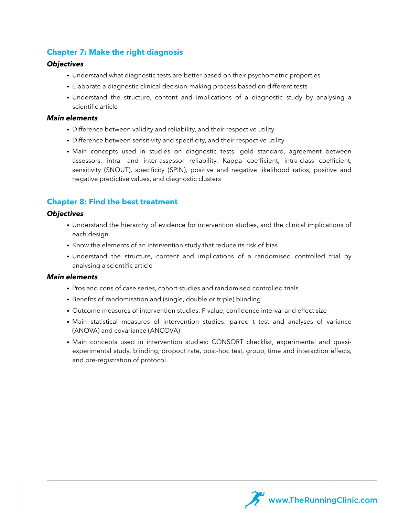## **Chapter 7: Make the right diagnosis**

#### *Objectives*

- Understand what diagnostic tests are better based on their psychometric properties
- Elaborate a diagnostic clinical decision-making process based on different tests
- Understand the structure, content and implications of a diagnostic study by analysing a scientific article

#### *Main elements*

- Difference between validity and reliability, and their respective utility
- Difference between sensitivity and specificity, and their respective utility
- Main concepts used in studies on diagnostic tests: gold standard, agreement between assessors, intra- and inter-assessor reliability, Kappa coefficient, intra-class coefficient, sensitivity (SNOUT), specificity (SPIN), positive and negative likelihood ratios, positive and negative predictive values, and diagnostic clusters

## **Chapter 8: Find the best treatment**

#### *Objectives*

- Understand the hierarchy of evidence for intervention studies, and the clinical implications of each design
- Know the elements of an intervention study that reduce its risk of bias
- Understand the structure, content and implications of a randomised controlled trial by analysing a scientific article

- Pros and cons of case series, cohort studies and randomised controlled trials
- Benefits of randomisation and (single, double or triple) blinding
- Outcome measures of intervention studies: P value, confidence interval and effect size
- Main statistical measures of intervention studies: paired t test and analyses of variance (ANOVA) and covariance (ANCOVA)
- Main concepts used in intervention studies: CONSORT checklist, experimental and quasiexperimental study, blinding, dropout rate, post-hoc test, group, time and interaction effects, and pre-registration of protocol